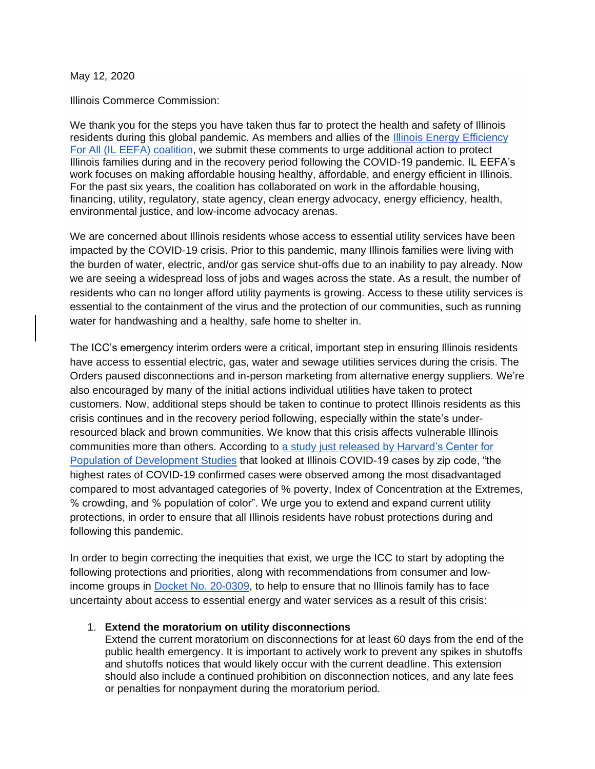May 12*,* 2020

Illinois Commerce Commission:

We thank you for the steps you have taken thus far to protect the health and safety of Illinois residents during this global pandemic. As members and allies of the [Illinois Energy Efficiency](https://www.energyefficiencyforall.org/states/illinois/)  [For All \(IL EEFA\) coalition,](https://www.energyefficiencyforall.org/states/illinois/) we submit these comments to urge additional action to protect Illinois families during and in the recovery period following the COVID-19 pandemic. IL EEFA's work focuses on making affordable housing healthy, affordable, and energy efficient in Illinois. For the past six years, the coalition has collaborated on work in the affordable housing, financing, utility, regulatory, state agency, clean energy advocacy, energy efficiency, health, environmental justice, and low-income advocacy arenas.

We are concerned about Illinois residents whose access to essential utility services have been impacted by the COVID-19 crisis. Prior to this pandemic, many Illinois families were living with the burden of water, electric, and/or gas service shut-offs due to an inability to pay already. Now we are seeing a widespread loss of jobs and wages across the state. As a result, the number of residents who can no longer afford utility payments is growing. Access to these utility services is essential to the containment of the virus and the protection of our communities, such as running water for handwashing and a healthy, safe home to shelter in.

The ICC's emergency interim orders were a critical, important step in ensuring Illinois residents have access to essential electric, gas, water and sewage utilities services during the crisis. The Orders paused disconnections and in-person marketing from alternative energy suppliers. We're also encouraged by many of the initial actions individual utilities have taken to protect customers. Now, additional steps should be taken to continue to protect Illinois residents as this crisis continues and in the recovery period following, especially within the state's underresourced black and brown communities. We know that this crisis affects vulnerable Illinois communities more than others. According to [a study just released by Harvard's Center for](https://cdn1.sph.harvard.edu/wp-content/uploads/sites/1266/2020/04/HCPDS_Volume-19_No_1_20_covid19_RevealingUnequalBurden_HCPDSWorkingPaper_04212020-1.pdf)  [Population of Development Studies](https://cdn1.sph.harvard.edu/wp-content/uploads/sites/1266/2020/04/HCPDS_Volume-19_No_1_20_covid19_RevealingUnequalBurden_HCPDSWorkingPaper_04212020-1.pdf) that looked at Illinois COVID-19 cases by zip code, "the highest rates of COVID-19 confirmed cases were observed among the most disadvantaged compared to most advantaged categories of % poverty, Index of Concentration at the Extremes, % crowding, and % population of color". We urge you to extend and expand current utility protections, in order to ensure that all Illinois residents have robust protections during and following this pandemic.

In order to begin correcting the inequities that exist, we urge the ICC to start by adopting the following protections and priorities, along with recommendations from consumer and lowincome groups in Docket [No. 20-0309,](https://www.icc.illinois.gov/docket/P2020-0309) to help to ensure that no Illinois family has to face uncertainty about access to essential energy and water services as a result of this crisis:

#### 1. **Extend the moratorium on utility disconnections**

Extend the current moratorium on disconnections for at least 60 days from the end of the public health emergency. It is important to actively work to prevent any spikes in shutoffs and shutoffs notices that would likely occur with the current deadline. This extension should also include a continued prohibition on disconnection notices, and any late fees or penalties for nonpayment during the moratorium period.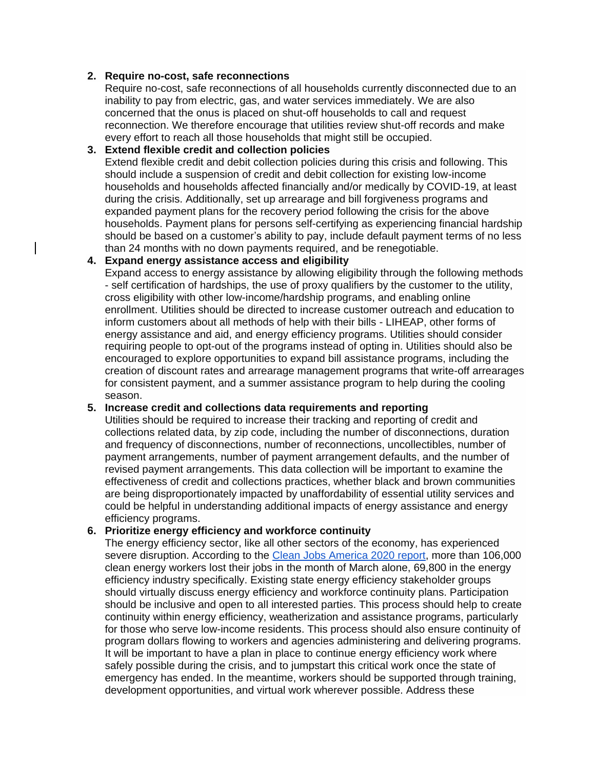## **2. Require no-cost, safe reconnections**

Require no-cost, safe reconnections of all households currently disconnected due to an inability to pay from electric, gas, and water services immediately. We are also concerned that the onus is placed on shut-off households to call and request reconnection. We therefore encourage that utilities review shut-off records and make every effort to reach all those households that might still be occupied.

#### **3. Extend flexible credit and collection policies**

Extend flexible credit and debit collection policies during this crisis and following. This should include a suspension of credit and debit collection for existing low-income households and households affected financially and/or medically by COVID-19, at least during the crisis. Additionally, set up arrearage and bill forgiveness programs and expanded payment plans for the recovery period following the crisis for the above households. Payment plans for persons self-certifying as experiencing financial hardship should be based on a customer's ability to pay, include default payment terms of no less than 24 months with no down payments required, and be renegotiable.

#### **4. Expand energy assistance access and eligibility**

Expand access to energy assistance by allowing eligibility through the following methods - self certification of hardships, the use of proxy qualifiers by the customer to the utility, cross eligibility with other low-income/hardship programs, and enabling online enrollment. Utilities should be directed to increase customer outreach and education to inform customers about all methods of help with their bills - LIHEAP, other forms of energy assistance and aid, and energy efficiency programs. Utilities should consider requiring people to opt-out of the programs instead of opting in. Utilities should also be encouraged to explore opportunities to expand bill assistance programs, including the creation of discount rates and arrearage management programs that write-off arrearages for consistent payment, and a summer assistance program to help during the cooling season.

## **5. Increase credit and collections data requirements and reporting**

Utilities should be required to increase their tracking and reporting of credit and collections related data, by zip code, including the number of disconnections, duration and frequency of disconnections, number of reconnections, uncollectibles, number of payment arrangements, number of payment arrangement defaults, and the number of revised payment arrangements. This data collection will be important to examine the effectiveness of credit and collections practices, whether black and brown communities are being disproportionately impacted by unaffordability of essential utility services and could be helpful in understanding additional impacts of energy assistance and energy efficiency programs.

## **6. Prioritize energy efficiency and workforce continuity**

The energy efficiency sector, like all other sectors of the economy, has experienced severe disruption. According to the [Clean Jobs America 2020 report,](https://e2.org/wp-content/uploads/2020/04/E2-Clean-Jobs-America-2020.pdf) more than 106,000 clean energy workers lost their jobs in the month of March alone, 69,800 in the energy efficiency industry specifically. Existing state energy efficiency stakeholder groups should virtually discuss energy efficiency and workforce continuity plans. Participation should be inclusive and open to all interested parties. This process should help to create continuity within energy efficiency, weatherization and assistance programs, particularly for those who serve low-income residents. This process should also ensure continuity of program dollars flowing to workers and agencies administering and delivering programs. It will be important to have a plan in place to continue energy efficiency work where safely possible during the crisis, and to jumpstart this critical work once the state of emergency has ended. In the meantime, workers should be supported through training, development opportunities, and virtual work wherever possible. Address these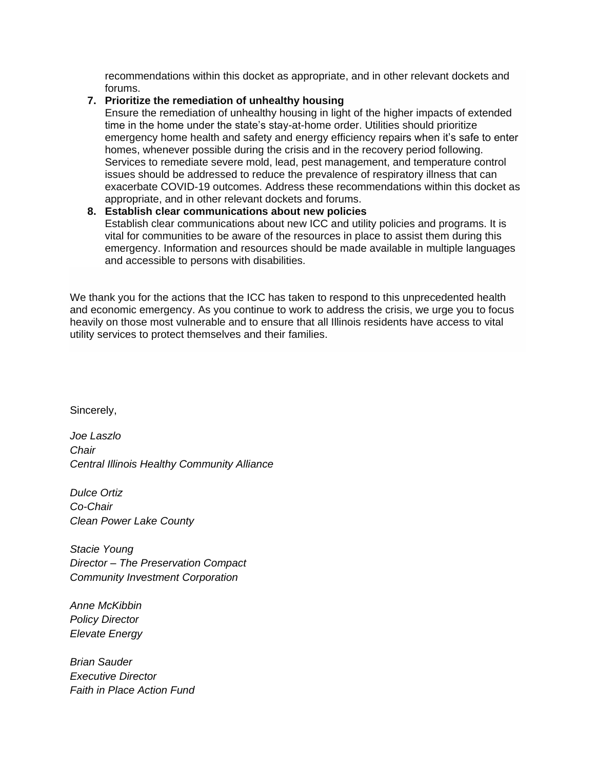recommendations within this docket as appropriate, and in other relevant dockets and forums.

# **7. Prioritize the remediation of unhealthy housing**

Ensure the remediation of unhealthy housing in light of the higher impacts of extended time in the home under the state's stay-at-home order. Utilities should prioritize emergency home health and safety and energy efficiency repairs when it's safe to enter homes, whenever possible during the crisis and in the recovery period following. Services to remediate severe mold, lead, pest management, and temperature control issues should be addressed to reduce the prevalence of respiratory illness that can exacerbate COVID-19 outcomes. Address these recommendations within this docket as appropriate, and in other relevant dockets and forums.

## **8. Establish clear communications about new policies**

Establish clear communications about new ICC and utility policies and programs. It is vital for communities to be aware of the resources in place to assist them during this emergency. Information and resources should be made available in multiple languages and accessible to persons with disabilities.

We thank you for the actions that the ICC has taken to respond to this unprecedented health and economic emergency. As you continue to work to address the crisis, we urge you to focus heavily on those most vulnerable and to ensure that all Illinois residents have access to vital utility services to protect themselves and their families.

Sincerely,

*Joe Laszlo Chair Central Illinois Healthy Community Alliance*

*Dulce Ortiz Co-Chair Clean Power Lake County*

*Stacie Young Director – The Preservation Compact Community Investment Corporation*

*Anne McKibbin Policy Director Elevate Energy*

*Brian Sauder Executive Director Faith in Place Action Fund*